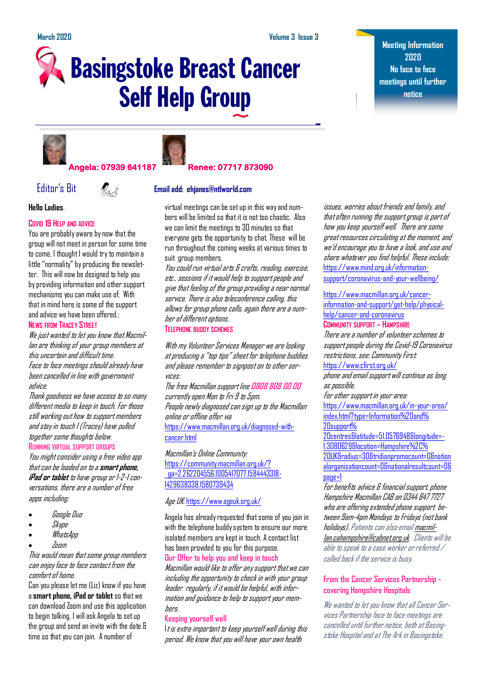# **Basingstoke Breast Cancer Self Help Group**

**Meeting Information 2020 No face to face meetings until further notice**







### **Hello Ladies**.

#### **COVID 19 HELP AND ADVICE**

You are probably aware by now that the group will not meet in person for some time to come, I thought I would try to maintain a little "normality" by producing the newsletter. This will now be designed to help you by providing information and other support mechanisms you can make use of. With that in mind here is some of the support and advice we have been offered.: **NEWS FROM TRACEY STREET**

We just wanted to let you know that Macmillan are thinking of your group members at this uncertain and difficult time. Face to face meetings should already have been cancelled in line with government advice.

Thank goodness we have access to so many different media to keep in touch. For those still working out how to support members and stay in touch I (Tracey) have pulled together some thoughts below. **RUNNING VIRTUAL SUPPORT GROUPS**

You might consider using a free video app that can be loaded on to a **smart phone, iPad or tablet** to have group or 1-2-1 conversations, there are a number of free apps including:

- Google Duo
- Skype
- WhatsApp
- Zoom

#### This would mean that some group members can enjoy face to face contact from the comfort of home.

Can you please let me (Liz) know if you have a **smart phone, iPad or tablet** so that we can download Zoom and use this application to begin talking. I will ask Angela to set up the group and send an invite with the date & time so that you can join. A number of



## Editor's Bit **Email add: ehjanes@ntlworld.com**

virtual meetings can be set up in this way and numbers will be limited so that it is not too chaotic. Also we can limit the meetings to 30 minutes so that everyone gets the opportunity to chat. These will be run throughout the coming weeks at various times to suit group members.

You could run virtual arts & crafts, reading, exercise, etc., sessions if it would help to support people and give that feeling of the group providing a near normal service. There is also teleconference calling, this allows for group phone calls, again there are a number of different options.

**TELEPHONE BUDDY SCHEMES**

With my Volunteer Services Manager we are looking at producing a "top tips" sheet for telephone buddies and please remember to signpost on to other services:

The free Macmillan support line **[0808 808 00 00](tel:08088080000)** currently open Mon to Fri 9 to 5pm. People newly diagnosed can sign up to the Macmillan online or offline offer via [https://www.macmillan.org.uk/diagnosed-with](https://www.macmillan.org.uk/diagnosed-with-cancer.html)[cancer.html](https://www.macmillan.org.uk/diagnosed-with-cancer.html)

Macmillan's Online Community: [https://community.macmillan.org.uk/?](https://community.macmillan.org.uk/?_ga=2.262204556.1005417077.1584443318-1429638338.1580739434) [\\_ga=2.262204556.1005417077.1584443318-](https://community.macmillan.org.uk/?_ga=2.262204556.1005417077.1584443318-1429638338.1580739434) [1429638338.1580739434](https://community.macmillan.org.uk/?_ga=2.262204556.1005417077.1584443318-1429638338.1580739434)

### Age UK: <https://www.ageuk.org.uk/>

Angela has already requested that some of you join in with the telephone buddy system to ensure our more isolated members are kept in touch. A contact list has been provided to you for this purpose.

## **Our Offer to help you and keep in touch**

Macmillan would like to offer any support that we can including the opportunity to check in with your group leader regularly, if it would be helpful, with information and guidance to help to support your members.

#### **Keeping yourself well**

It is extra important to keep yourself well during this period. We know that you will have your own health

issues, worries about friends and family, and that often running the support group is part of how you keep yourself well. There are some great resources circulating at the moment, and we'd encourage you to have a look, and use and share whatever you find helpful. These include: [https://www.mind.org.uk/information](https://www.mind.org.uk/information-support/coronavirus-and-your-wellbeing/)[support/coronavirus-and-your-wellbeing/](https://www.mind.org.uk/information-support/coronavirus-and-your-wellbeing/)

[https://www.macmillan.org.uk/cancer](https://www.macmillan.org.uk/cancer-information-and-support/get-help/physical-help/cancer-and-coronavirus)[information-and-support/get-help/physical](https://www.macmillan.org.uk/cancer-information-and-support/get-help/physical-help/cancer-and-coronavirus)[help/cancer-and-coronavirus](https://www.macmillan.org.uk/cancer-information-and-support/get-help/physical-help/cancer-and-coronavirus) **COMMUNITY SUPPORT – HAMPSHIRE**

## There are a number of volunteer schemes to support people during the Covid-19 Coronavirus restrictions, see: Community First:

<https://www.cfirst.org.uk/>

phone and email support will continue as long as possible.

For other support in your area: [https://www.macmillan.org.uk/in-your-area/](https://www.macmillan.org.uk/in-your-area/index.html?type=Information%20and%20support%20centres&latitude=51.0576948&longitude=-1.3080629&location=Hampshire%2C%20UK&radius=30&tridionpromocount=0&nationalorganisationcount=0&nationalresultcount=0&page=1) [index.html?type=Information%20and%](https://www.macmillan.org.uk/in-your-area/index.html?type=Information%20and%20support%20centres&latitude=51.0576948&longitude=-1.3080629&location=Hampshire%2C%20UK&radius=30&tridionpromocount=0&nationalorganisationcount=0&nationalresultcount=0&page=1) [20support%](https://www.macmillan.org.uk/in-your-area/index.html?type=Information%20and%20support%20centres&latitude=51.0576948&longitude=-1.3080629&location=Hampshire%2C%20UK&radius=30&tridionpromocount=0&nationalorganisationcount=0&nationalresultcount=0&page=1)

[20centres&latitude=51.0576948&longitude=-](https://www.macmillan.org.uk/in-your-area/index.html?type=Information%20and%20support%20centres&latitude=51.0576948&longitude=-1.3080629&location=Hampshire%2C%20UK&radius=30&tridionpromocount=0&nationalorganisationcount=0&nationalresultcount=0&page=1) [1.3080629&location=Hampshire%2C%](https://www.macmillan.org.uk/in-your-area/index.html?type=Information%20and%20support%20centres&latitude=51.0576948&longitude=-1.3080629&location=Hampshire%2C%20UK&radius=30&tridionpromocount=0&nationalorganisationcount=0&nationalresultcount=0&page=1) [20UK&radius=30&tridionpromocount=0&nation](https://www.macmillan.org.uk/in-your-area/index.html?type=Information%20and%20support%20centres&latitude=51.0576948&longitude=-1.3080629&location=Hampshire%2C%20UK&radius=30&tridionpromocount=0&nationalorganisationcount=0&nationalresultcount=0&page=1) [alorganisationcount=0&nationalresultcount=0&](https://www.macmillan.org.uk/in-your-area/index.html?type=Information%20and%20support%20centres&latitude=51.0576948&longitude=-1.3080629&location=Hampshire%2C%20UK&radius=30&tridionpromocount=0&nationalorganisationcount=0&nationalresultcount=0&page=1) [page=1](https://www.macmillan.org.uk/in-your-area/index.html?type=Information%20and%20support%20centres&latitude=51.0576948&longitude=-1.3080629&location=Hampshire%2C%20UK&radius=30&tridionpromocount=0&nationalorganisationcount=0&nationalresultcount=0&page=1)

For benefits advice & financial support, phone Hampshire Macmillan CAB on 0344 847 7727 who are offering extended phone support between 9am-4pm Mondays to Fridays (not bank holidays). Patients can also emai[l](mailto:macmillan.cahampshire@cabnet.org.uk) [macmil](mailto:macmillan.cahampshire@cabnet.org.uk)[lan.cahampshire@cabnet.org.uk.](mailto:macmillan.cahampshire@cabnet.org.uk) Clients will be able to speak to a case worker or referred / called back if the service is busy.

### **From the Cancer Services Partnership covering Hampshire Hospitals**

We wanted to let you know that all Cancer Services Partnership face to face meetings are cancelled until further notice, both at Basingstoke Hospital and at The Ark in Basingstoke.